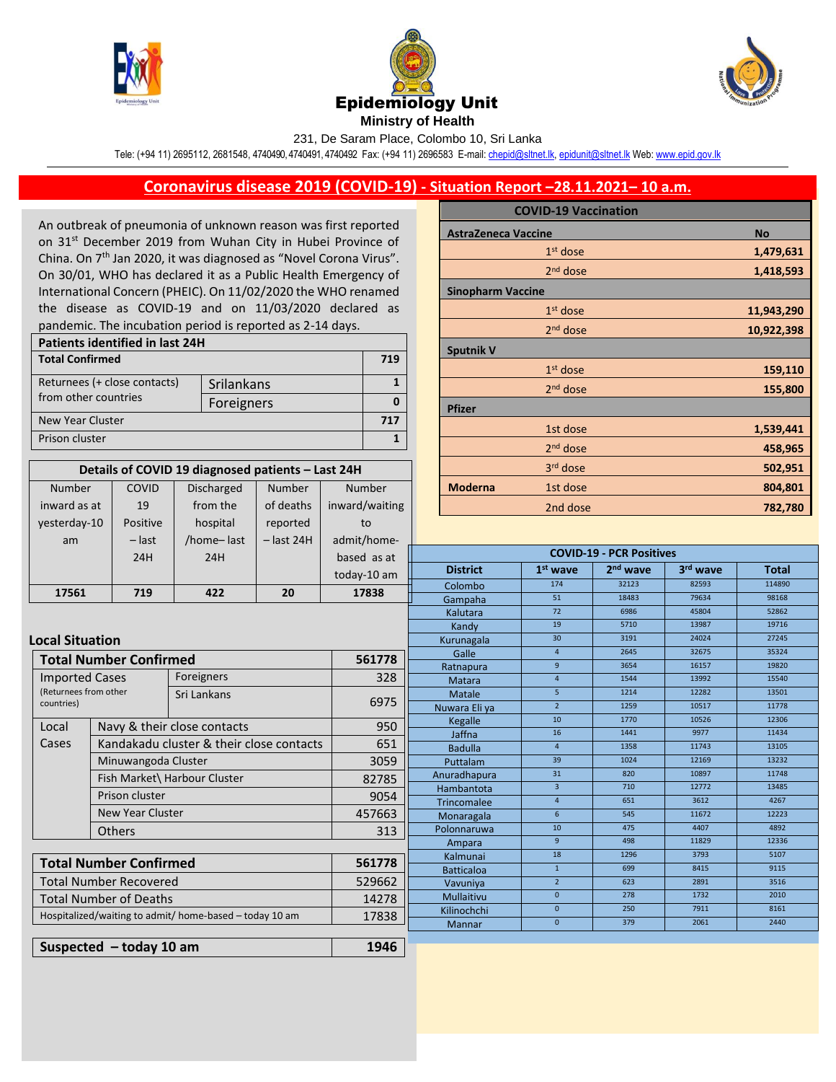

Number inward as at COVID 19





231, De Saram Place, Colombo 10, Sri Lanka

Tele: (+94 11) 2695112, 2681548, 4740490, 4740491, 4740492 Fax: (+94 11) 2696583 E-mail[: chepid@sltnet.lk,](mailto:chepi@sltnet.lk) [epidunit@sltnet.lk](mailto:epidunit@sltnet.lk) Web[: www.epid.gov.lk](http://www.epid.gov.lk/)

## **Coronavirus disease 2019 (COVID-19) - Situation Report –28.11.2021– 10 a.m.**

An outbreak of pneumonia of unknown reason was first reported on 31<sup>st</sup> December 2019 from Wuhan City in Hubei Province of China. On 7<sup>th</sup> Jan 2020, it was diagnosed as "Novel Corona Virus". On 30/01, WHO has declared it as a Public Health Emergency of International Concern (PHEIC). On 11/02/2020 the WHO renamed the disease as COVID-19 and on 11/03/2020 declared as pandemic. The incubation period is reported as 2-14 days.

| Patients identified in last 24H |            |  |  |  |
|---------------------------------|------------|--|--|--|
| <b>Total Confirmed</b>          |            |  |  |  |
| Returnees (+ close contacts)    | Srilankans |  |  |  |
| from other countries            | Foreigners |  |  |  |
| New Year Cluster                |            |  |  |  |
| Prison cluster                  |            |  |  |  |

**Details of COVID 19 diagnosed patients – Last 24H**

Number

Number

Discharged from the

|                          | <b>COVID-19 Vaccination</b> |            |  |  |
|--------------------------|-----------------------------|------------|--|--|
|                          | <b>AstraZeneca Vaccine</b>  |            |  |  |
|                          | $1st$ dose                  | 1,479,631  |  |  |
|                          | $2nd$ dose                  | 1,418,593  |  |  |
| <b>Sinopharm Vaccine</b> |                             |            |  |  |
|                          | $1st$ dose                  | 11,943,290 |  |  |
|                          | $2nd$ dose                  | 10,922,398 |  |  |
| <b>Sputnik V</b>         |                             |            |  |  |
|                          | $1st$ dose                  | 159,110    |  |  |
|                          | $2nd$ dose                  | 155,800    |  |  |
| <b>Pfizer</b>            |                             |            |  |  |
|                          | 1st dose                    | 1,539,441  |  |  |
|                          | 2 <sup>nd</sup> dose        | 458,965    |  |  |
|                          | 3rd dose                    | 502,951    |  |  |
| <b>Moderna</b>           | 1st dose                    | 804,801    |  |  |
|                          | 2nd dose                    | 782,780    |  |  |

| inward as at                                                     | 19                                      | from the                                 | of deaths         | inward/waiting | 2nd dose                        |                      |                      | 782,780       |                |
|------------------------------------------------------------------|-----------------------------------------|------------------------------------------|-------------------|----------------|---------------------------------|----------------------|----------------------|---------------|----------------|
| yesterday-10                                                     | Positive                                | hospital                                 | reported          | to             |                                 |                      |                      |               |                |
| am                                                               | $-$ last                                | /home-last                               | $-$ last 24H      | admit/home-    |                                 |                      |                      |               |                |
|                                                                  | 24H                                     | 24H                                      |                   | based as at    | <b>COVID-19 - PCR Positives</b> |                      |                      |               |                |
|                                                                  |                                         |                                          |                   | today-10 am    | <b>District</b>                 | $1st$ wave           | 2 <sup>nd</sup> wave | 3rd wave      | <b>Total</b>   |
|                                                                  |                                         |                                          |                   |                | Colombo                         | 174                  | 32123                | 82593         | 114890         |
| 17561                                                            | 719                                     | 422                                      | 20                | 17838          | Gampaha                         | 51                   | 18483                | 79634         | 98168          |
|                                                                  |                                         |                                          |                   |                | Kalutara                        | 72                   | 6986                 | 45804         | 52862          |
|                                                                  |                                         |                                          |                   |                | Kandy                           | 19                   | 5710                 | 13987         | 19716          |
| <b>Local Situation</b>                                           |                                         |                                          |                   | Kurunagala     | 30 <sub>o</sub>                 | 3191                 | 24024                | 27245         |                |
|                                                                  | <b>Total Number Confirmed</b><br>561778 |                                          |                   |                | Galle                           | $\overline{4}$       | 2645                 | 32675         | 35324          |
|                                                                  |                                         |                                          |                   |                | Ratnapura                       | 9 <sup>°</sup>       | 3654                 | 16157         | 19820          |
| <b>Imported Cases</b>                                            |                                         | Foreigners                               |                   | 328            | <b>Matara</b>                   | $\overline{4}$       | 1544                 | 13992         | 15540          |
| (Returnees from other<br>countries)                              |                                         | Sri Lankans                              | 6975              | Matale         | 5 <sup>5</sup>                  | 1214                 | 12282                | 13501         |                |
|                                                                  |                                         |                                          |                   | Nuwara Eli ya  | $\overline{2}$                  | 1259                 | 10517                | 11778         |                |
| Local                                                            |                                         | Navy & their close contacts              |                   | 950            | Kegalle                         | 10                   | 1770                 | 10526         | 12306          |
| Cases                                                            |                                         | Kandakadu cluster & their close contacts |                   | 651            | Jaffna                          | 16<br>$\overline{4}$ | 1441<br>1358         | 9977<br>11743 | 11434<br>13105 |
|                                                                  |                                         |                                          |                   |                | <b>Badulla</b>                  | 39                   | 1024                 | 12169         | 13232          |
|                                                                  | Minuwangoda Cluster                     |                                          |                   | 3059<br>82785  | Puttalam<br>Anuradhapura        | 31                   | 820                  | 10897         | 11748          |
| Fish Market\ Harbour Cluster                                     |                                         |                                          |                   |                | Hambantota                      | $\overline{3}$       | 710                  | 12772         | 13485          |
|                                                                  | Prison cluster                          |                                          |                   | 9054           | Trincomalee                     | $\overline{4}$       | 651                  | 3612          | 4267           |
|                                                                  | <b>New Year Cluster</b>                 |                                          |                   | 457663         | Monaragala                      | 6                    | 545                  | 11672         | 12223          |
|                                                                  | <b>Others</b>                           |                                          | 313               | Polonnaruwa    | 10                              | 475                  | 4407                 | 4892          |                |
|                                                                  |                                         |                                          |                   | Ampara         | 9                               | 498                  | 11829                | 12336         |                |
|                                                                  |                                         |                                          |                   | Kalmunai       | 18                              | 1296                 | 3793                 | 5107          |                |
| <b>Total Number Confirmed</b><br>561778                          |                                         |                                          | <b>Batticaloa</b> | $\mathbf{1}$   | 699                             | 8415                 | 9115                 |               |                |
| Total Number Recovered                                           |                                         | 529662                                   | Vavuniya          | $\overline{2}$ | 623                             | 2891                 | 3516                 |               |                |
| <b>Total Number of Deaths</b><br>14278                           |                                         |                                          | <b>Mullaitivu</b> | $\mathbf{0}$   | 278                             | 1732                 | 2010                 |               |                |
| Hospitalized/waiting to admit/ home-based - today 10 am<br>17838 |                                         | Kilinochchi                              | $\mathbf{0}$      | 250            | 7911                            | 8161                 |                      |               |                |
|                                                                  |                                         | <b>Mannar</b>                            | $\mathbf{0}$      | 379            | 2061                            | 2440                 |                      |               |                |
|                                                                  |                                         |                                          |                   | 1946           |                                 |                      |                      |               |                |
| Suspected $-$ today 10 am                                        |                                         |                                          |                   |                |                                 |                      |                      |               |                |